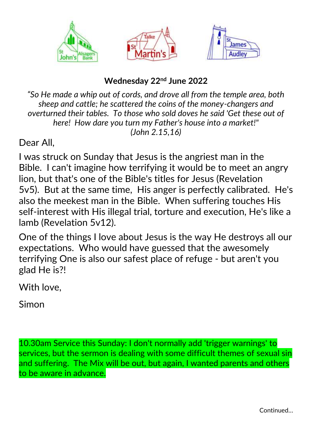

## **Wednesday 22nd June 2022**

*"So He made a whip out of cords, and drove all from the temple area, both sheep and cattle; he scattered the coins of the money-changers and overturned their tables. To those who sold doves he said 'Get these out of here! How dare you turn my Father's house into a market!" (John 2.15,16)*

Dear All,

I was struck on Sunday that Jesus is the angriest man in the Bible. I can't imagine how terrifying it would be to meet an angry lion, but that's one of the Bible's titles for Jesus (Revelation 5v5). But at the same time, His anger is perfectly calibrated. He's also the meekest man in the Bible. When suffering touches His self-interest with His illegal trial, torture and execution, He's like a lamb (Revelation 5v12).

One of the things I love about Jesus is the way He destroys all our expectations. Who would have guessed that the awesomely terrifying One is also our safest place of refuge - but aren't you glad He is?!

With love,

Simon

10.30am Service this Sunday: I don't normally add 'trigger warnings' to services, but the sermon is dealing with some difficult themes of sexual sin and suffering. The Mix will be out, but again, I wanted parents and others to be aware in advance.

Continued…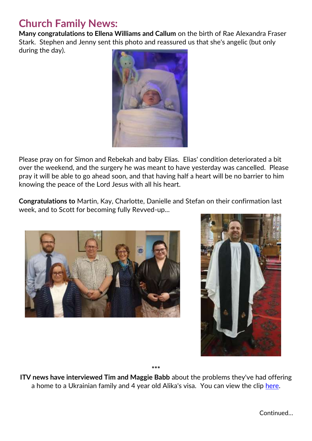## **Church Family News:**

**Many congratulations to Ellena Williams and Callum** on the birth of Rae Alexandra Fraser Stark. Stephen and Jenny sent this photo and reassured us that she's angelic (but only during the day).



Please pray on for Simon and Rebekah and baby Elias. Elias' condition deteriorated a bit over the weekend, and the surgery he was meant to have yesterday was cancelled. Please pray it will be able to go ahead soon, and that having half a heart will be no barrier to him knowing the peace of the Lord Jesus with all his heart.

**Congratulations to** Martin, Kay, Charlotte, Danielle and Stefan on their confirmation last week, and to Scott for becoming fully Revved-up...





**\*\*\***

**ITV news have interviewed Tim and Maggie Babb** about the problems they've had offering a home to a Ukrainian family and 4 year old Alika's visa. You can view the clip [here.](https://www.itv.com/news/central/2022-06-21/girl-4-sent-back-to-ukraine-despite-having-sponsor-in-staffordshire)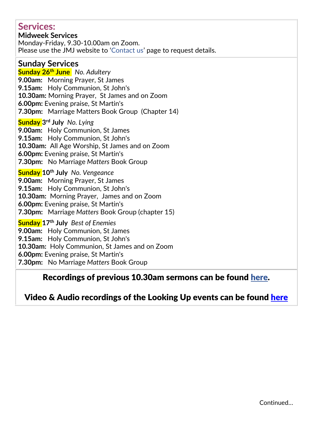### **Services:**

**Midweek Services** Monday-Friday, 9.30-10.00am on Zoom. Please use the JMJ website to '[Contact us](https://www.jmj.org.uk/Groups/283485/Contact_Us.aspx)' page to request details.

### **Sunday Services**

**Sunday 26th June** *No. Adultery* **9.00am:** Morning Prayer, St James **9.15am:** Holy Communion, St John's **10.30am:** Morning Prayer, St James and on Zoom **6.00pm:** Evening praise, St Martin's **7.30pm:** Marriage Matters Book Group (Chapter 14)

#### **Sunday 3 rd July** *No. Lying*

**9.00am:** Holy Communion, St James **9.15am:** Holy Communion, St John's **10.30am:** All Age Worship, St James and on Zoom **6.00pm:** Evening praise, St Martin's **7.30pm:** No Marriage *Matters* Book Group

**Sunday 10th July** *No. Vengeance*

**9.00am:** Morning Prayer, St James **9.15am:** Holy Communion, St John's **10.30am:** Morning Prayer, James and on Zoom **6.00pm:** Evening praise, St Martin's **7.30pm:** Marriage *Matters* Book Group (chapter 15)

**Sunday 17th July** *Best of Enemies* **9.00am:** Holy Communion, St James **9.15am:** Holy Communion, St John's **10.30am:** Holy Communion, St James and on Zoom **6.00pm:** Evening praise, St Martin's **7.30pm:** No Marriage *Matters* Book Group

### Recordings of previous 10.30am sermons can be found [here.](https://stjamesaudley.churchinsight.com/Media/AllMedia.aspx)

## Video & Audio recordings of the Looking Up events can be found [here](https://www.jmj.org.uk/Publisher/Article.aspx?ID=632885)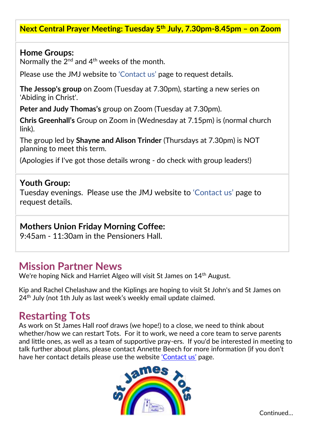### **Next Central Prayer Meeting: Tuesday 5 th July, 7.30pm-8.45pm – on Zoom**

#### **Home Groups:**

Normally the  $2^{nd}$  and  $4^{th}$  weeks of the month.

Please use the JMJ website to ['Contact us'](https://www.jmj.org.uk/Groups/283485/Contact_Us.aspx) page to request details.

**The Jessop's group** on Zoom (Tuesday at 7.30pm), starting a new series on 'Abiding in Christ'.

**Peter and Judy Thomas's** group on Zoom (Tuesday at 7.30pm).

**Chris Greenhall's** Group on Zoom in (Wednesday at 7.15pm) is (normal church link).

The group led by **Shayne and Alison Trinder** (Thursdays at 7.30pm) is NOT planning to meet this term.

(Apologies if I've got those details wrong - do check with group leaders!)

#### **Youth Group:**

Tuesday evenings. Please use the JMJ website to ['Contact us'](https://www.jmj.org.uk/Groups/283485/Contact_Us.aspx) page to request details.

### **Mothers Union Friday Morning Coffee:**

9:45am - 11:30am in the Pensioners Hall.

## **Mission Partner News**

We're hoping Nick and Harriet Algeo will visit St James on 14<sup>th</sup> August.

Kip and Rachel Chelashaw and the Kiplings are hoping to visit St John's and St James on 24<sup>th</sup> July (not 1th July as last week's weekly email update claimed.

## **Restarting Tots**

As work on St James Hall roof draws (we hope!) to a close, we need to think about whether/how we can restart Tots. For it to work, we need a core team to serve parents and little ones, as well as a team of supportive pray-ers. If you'd be interested in meeting to talk further about plans, please contact Annette Beech for more information (if you don't have her contact details please use the website ['Contact us'](https://www.jmj.org.uk/Groups/283485/Contact_Us.aspx) page.



Continued…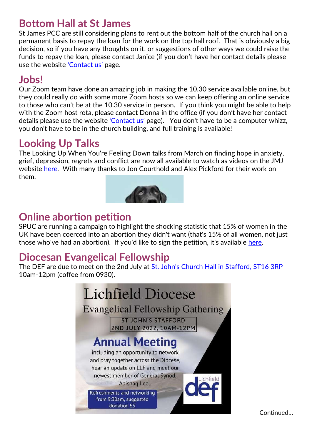## **Bottom Hall at St James**

St James PCC are still considering plans to rent out the bottom half of the church hall on a permanent basis to repay the loan for the work on the top hall roof. That is obviously a big decision, so if you have any thoughts on it, or suggestions of other ways we could raise the funds to repay the loan, please contact Janice (if you don't have her contact details please use the website ['Contact us'](https://www.jmj.org.uk/Groups/283485/Contact_Us.aspx) page.

## **Jobs!**

Our Zoom team have done an amazing job in making the 10.30 service available online, but they could really do with some more Zoom hosts so we can keep offering an online service to those who can't be at the 10.30 service in person. If you think you might be able to help with the Zoom host rota, please contact Donna in the office (if you don't have her contact details please use the website ['Contact us'](https://www.jmj.org.uk/Groups/283485/Contact_Us.aspx) page). You don't have to be a computer whizz, you don't have to be in the church building, and full training is available!

# **Looking Up Talks**

The Looking Up When You're Feeling Down talks from March on finding hope in anxiety, grief, depression, regrets and conflict are now all available to watch as videos on the JMJ website [here.](https://www.jmj.org.uk/Articles/632885/Looking_Up.aspx) With many thanks to Jon Courthold and Alex Pickford for their work on them.



# **Online abortion petition**

SPUC are running a campaign to highlight the shocking statistic that 15% of women in the UK have been coerced into an abortion they didn't want (that's 15% of all women, not just those who've had an abortion). If you'd like to sign the petition, it's available [here.](https://www.spuc.org.uk/coercion)

## **Diocesan Evangelical Fellowship**

The DEF are due to meet on the 2nd July at [St. John's Church Hall in Stafford, ST16 3RP](https://www.google.co.uk/maps/place/St+John) 10am-12pm (coffee from 0930).



Continued…